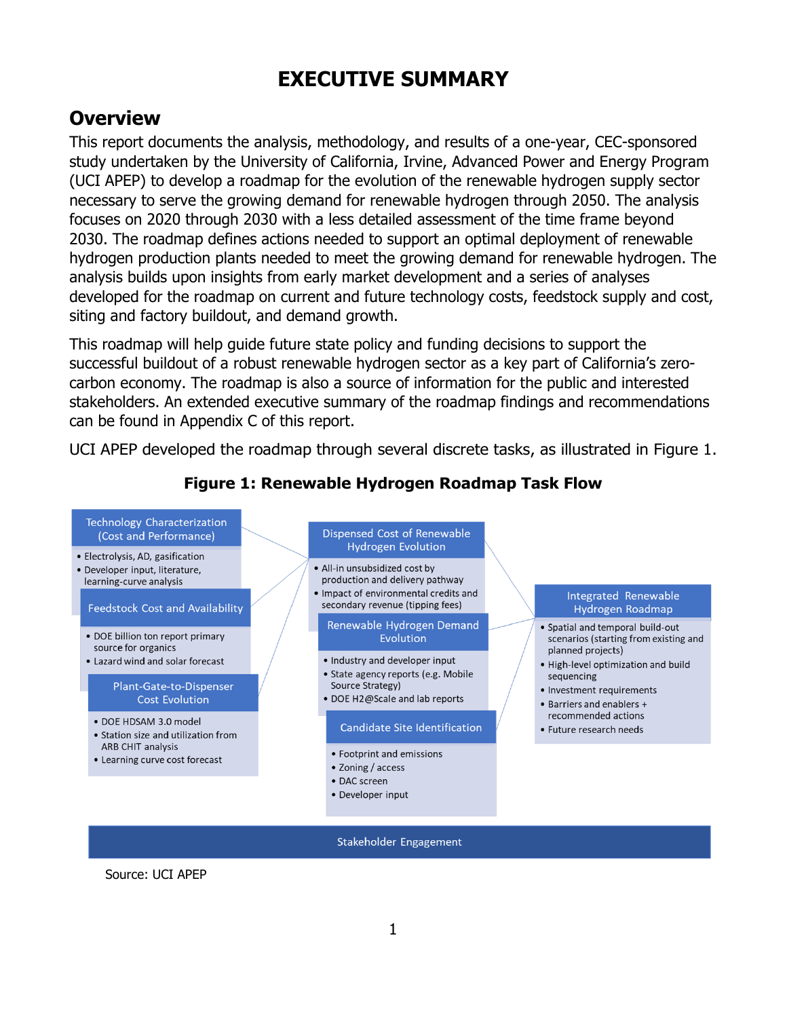# **EXECUTIVE SUMMARY**

# **Overview**

This report documents the analysis, methodology, and results of a one-year, CEC-sponsored study undertaken by the University of California, Irvine, Advanced Power and Energy Program (UCI APEP) to develop a roadmap for the evolution of the renewable hydrogen supply sector necessary to serve the growing demand for renewable hydrogen through 2050. The analysis focuses on 2020 through 2030 with a less detailed assessment of the time frame beyond 2030. The roadmap defines actions needed to support an optimal deployment of renewable hydrogen production plants needed to meet the growing demand for renewable hydrogen. The analysis builds upon insights from early market development and a series of analyses developed for the roadmap on current and future technology costs, feedstock supply and cost, siting and factory buildout, and demand growth.

This roadmap will help guide future state policy and funding decisions to support the successful buildout of a robust renewable hydrogen sector as a key part of California's zerocarbon economy. The roadmap is also a source of information for the public and interested stakeholders. An extended executive summary of the roadmap findings and recommendations can be found in Appendix C of this report.

UCI APEP developed the roadmap through several discrete tasks, as illustrated in Figure 1.

#### Technology Characterization Dispensed Cost of Renewable (Cost and Performance) **Hydrogen Evolution** • Electrolysis, AD, gasification · All-in unsubsidized cost by • Developer input, literature, production and delivery pathway learning-curve analysis · Impact of environmental credits and Integrated Renewable secondary revenue (tipping fees) **Feedstock Cost and Availability** Hydrogen Roadmap Renewable Hydrogen Demand • Spatial and temporal build-out • DOE billion ton report primary Evolution scenarios (starting from existing and source for organics planned projects) • Industry and developer input • Lazard wind and solar forecast • High-level optimization and build · State agency reports (e.g. Mobile sequencing Source Strategy) Plant-Gate-to-Dispenser • Investment requirements **Cost Evolution** • DOE H2@Scale and lab reports • Barriers and enablers + recommended actions · DOE HDSAM 3.0 model Candidate Site Identification • Future research needs • Station size and utilization from ARB CHIT analysis • Footprint and emissions • Learning curve cost forecast • Zoning / access • DAC screen • Developer input

# **Figure 1: Renewable Hydrogen Roadmap Task Flow**

Source: UCI APEP

Stakeholder Engagement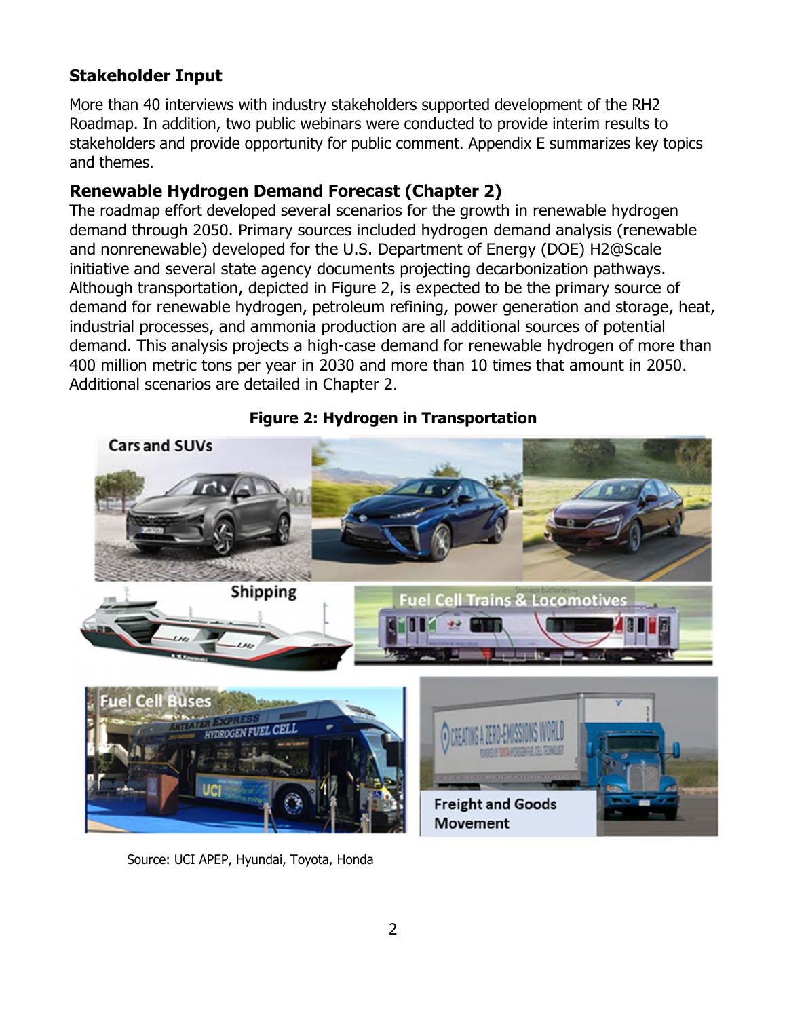### **Stakeholder Input**

More than 40 interviews with industry stakeholders supported development of the RH2 Roadmap. In addition, two public webinars were conducted to provide interim results to stakeholders and provide opportunity for public comment. Appendix E summarizes key topics and themes.

#### **Renewable Hydrogen Demand Forecast (Chapter 2)**

The roadmap effort developed several scenarios for the growth in renewable hydrogen demand through 2050. Primary sources included hydrogen demand analysis (renewable and nonrenewable) developed for the U.S. Department of Energy (DOE) H2@Scale initiative and several state agency documents projecting decarbonization pathways. Although transportation, depicted in Figure 2, is expected to be the primary source of demand for renewable hydrogen, petroleum refining, power generation and storage, heat, industrial processes, and ammonia production are all additional sources of potential demand. This analysis projects a high-case demand for renewable hydrogen of more than 400 million metric tons per year in 2030 and more than 10 times that amount in 2050. Additional scenarios are detailed in Chapter 2.



#### **Figure 2: Hydrogen in Transportation**

Source: UCI APEP, Hyundai, Toyota, Honda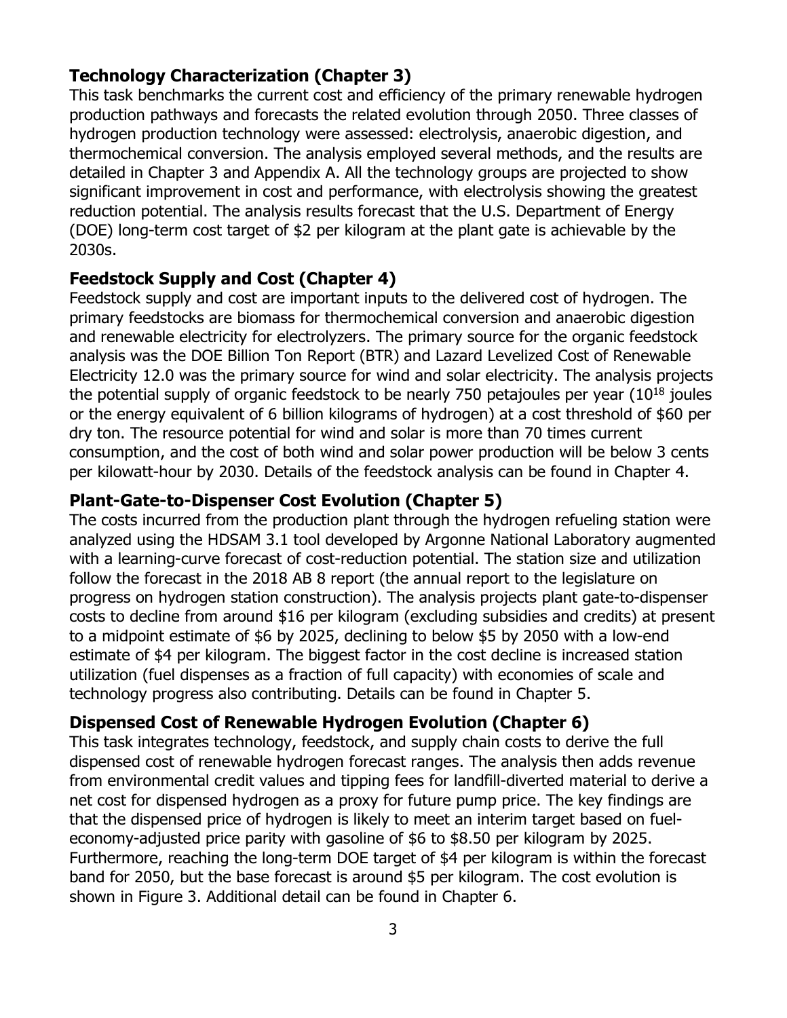### **Technology Characterization (Chapter 3)**

This task benchmarks the current cost and efficiency of the primary renewable hydrogen production pathways and forecasts the related evolution through 2050. Three classes of hydrogen production technology were assessed: electrolysis, anaerobic digestion, and thermochemical conversion. The analysis employed several methods, and the results are detailed in Chapter 3 and Appendix A. All the technology groups are projected to show significant improvement in cost and performance, with electrolysis showing the greatest reduction potential. The analysis results forecast that the U.S. Department of Energy (DOE) long-term cost target of \$2 per kilogram at the plant gate is achievable by the 2030s.

#### **Feedstock Supply and Cost (Chapter 4)**

Feedstock supply and cost are important inputs to the delivered cost of hydrogen. The primary feedstocks are biomass for thermochemical conversion and anaerobic digestion and renewable electricity for electrolyzers. The primary source for the organic feedstock analysis was the DOE Billion Ton Report (BTR) and Lazard Levelized Cost of Renewable Electricity 12.0 was the primary source for wind and solar electricity. The analysis projects the potential supply of organic feedstock to be nearly 750 petajoules per year  $(10^{18})$  joules or the energy equivalent of 6 billion kilograms of hydrogen) at a cost threshold of \$60 per dry ton. The resource potential for wind and solar is more than 70 times current consumption, and the cost of both wind and solar power production will be below 3 cents per kilowatt-hour by 2030. Details of the feedstock analysis can be found in Chapter 4.

#### **Plant-Gate-to-Dispenser Cost Evolution (Chapter 5)**

The costs incurred from the production plant through the hydrogen refueling station were analyzed using the HDSAM 3.1 tool developed by Argonne National Laboratory augmented with a learning-curve forecast of cost-reduction potential. The station size and utilization follow the forecast in the 2018 AB 8 report (the annual report to the legislature on progress on hydrogen station construction). The analysis projects plant gate-to-dispenser costs to decline from around \$16 per kilogram (excluding subsidies and credits) at present to a midpoint estimate of \$6 by 2025, declining to below \$5 by 2050 with a low-end estimate of \$4 per kilogram. The biggest factor in the cost decline is increased station utilization (fuel dispenses as a fraction of full capacity) with economies of scale and technology progress also contributing. Details can be found in Chapter 5.

# **Dispensed Cost of Renewable Hydrogen Evolution (Chapter 6)**

This task integrates technology, feedstock, and supply chain costs to derive the full dispensed cost of renewable hydrogen forecast ranges. The analysis then adds revenue from environmental credit values and tipping fees for landfill-diverted material to derive a net cost for dispensed hydrogen as a proxy for future pump price. The key findings are that the dispensed price of hydrogen is likely to meet an interim target based on fueleconomy-adjusted price parity with gasoline of \$6 to \$8.50 per kilogram by 2025. Furthermore, reaching the long-term DOE target of \$4 per kilogram is within the forecast band for 2050, but the base forecast is around \$5 per kilogram. The cost evolution is shown in Figure 3. Additional detail can be found in Chapter 6.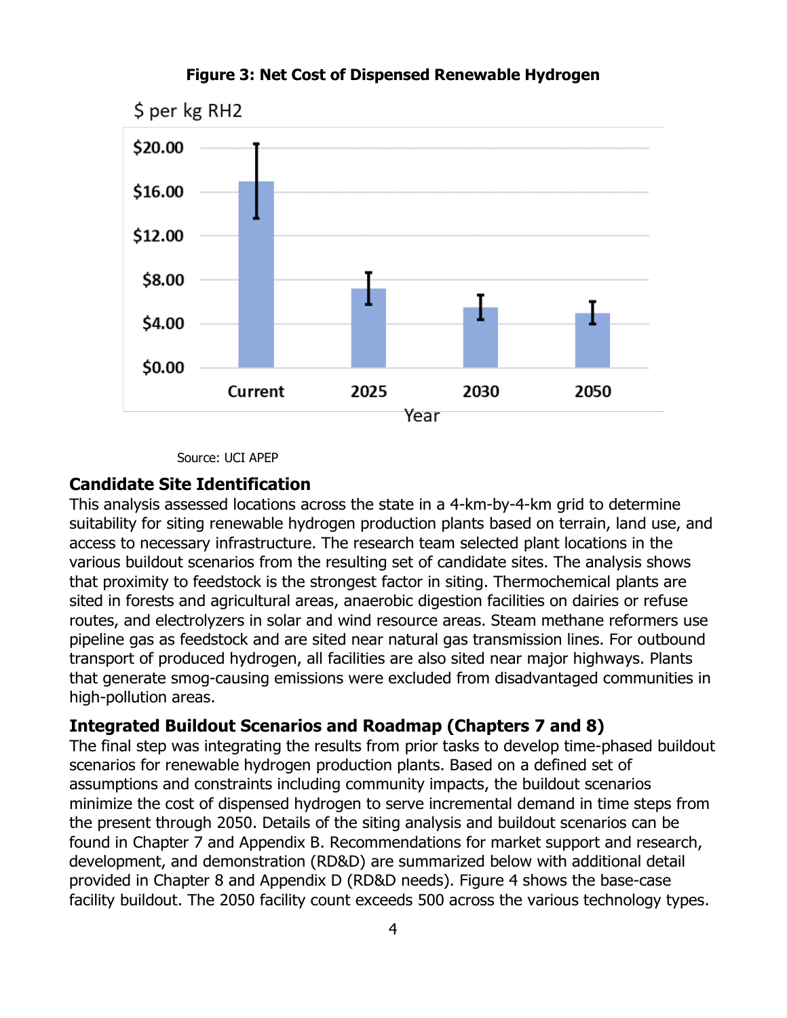

#### **Figure 3: Net Cost of Dispensed Renewable Hydrogen**

Source: UCI APEP

#### **Candidate Site Identification**

This analysis assessed locations across the state in a 4-km-by-4-km grid to determine suitability for siting renewable hydrogen production plants based on terrain, land use, and access to necessary infrastructure. The research team selected plant locations in the various buildout scenarios from the resulting set of candidate sites. The analysis shows that proximity to feedstock is the strongest factor in siting. Thermochemical plants are sited in forests and agricultural areas, anaerobic digestion facilities on dairies or refuse routes, and electrolyzers in solar and wind resource areas. Steam methane reformers use pipeline gas as feedstock and are sited near natural gas transmission lines. For outbound transport of produced hydrogen, all facilities are also sited near major highways. Plants that generate smog-causing emissions were excluded from disadvantaged communities in high-pollution areas.

### **Integrated Buildout Scenarios and Roadmap (Chapters 7 and 8)**

The final step was integrating the results from prior tasks to develop time-phased buildout scenarios for renewable hydrogen production plants. Based on a defined set of assumptions and constraints including community impacts, the buildout scenarios minimize the cost of dispensed hydrogen to serve incremental demand in time steps from the present through 2050. Details of the siting analysis and buildout scenarios can be found in Chapter 7 and Appendix B. Recommendations for market support and research, development, and demonstration (RD&D) are summarized below with additional detail provided in Chapter 8 and Appendix D (RD&D needs). Figure 4 shows the base-case facility buildout. The 2050 facility count exceeds 500 across the various technology types.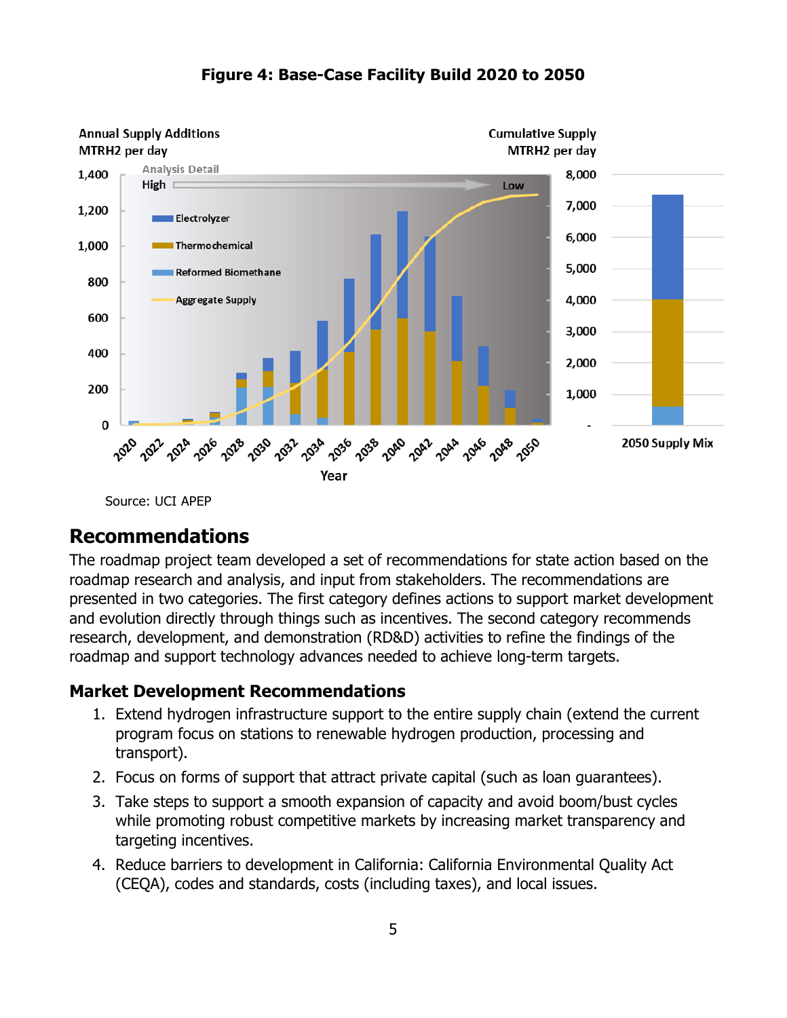

#### **Figure 4: Base-Case Facility Build 2020 to 2050**

Source: UCI APEP

# **Recommendations**

The roadmap project team developed a set of recommendations for state action based on the roadmap research and analysis, and input from stakeholders. The recommendations are presented in two categories. The first category defines actions to support market development and evolution directly through things such as incentives. The second category recommends research, development, and demonstration (RD&D) activities to refine the findings of the roadmap and support technology advances needed to achieve long-term targets.

#### **Market Development Recommendations**

- 1. Extend hydrogen infrastructure support to the entire supply chain (extend the current program focus on stations to renewable hydrogen production, processing and transport).
- 2. Focus on forms of support that attract private capital (such as loan guarantees).
- 3. Take steps to support a smooth expansion of capacity and avoid boom/bust cycles while promoting robust competitive markets by increasing market transparency and targeting incentives.
- 4. Reduce barriers to development in California: California Environmental Quality Act (CEQA), codes and standards, costs (including taxes), and local issues.